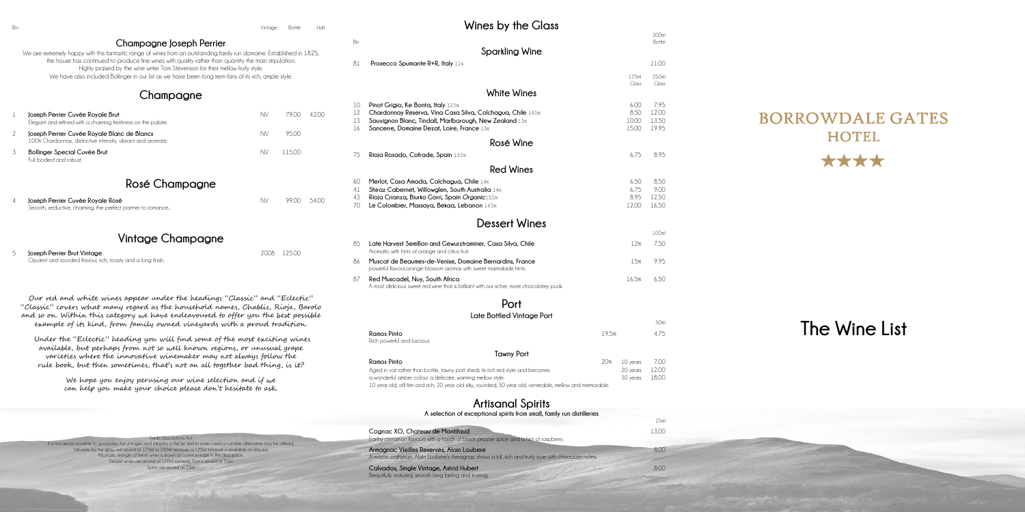| Wines by the Glass |  |  |  |
|--------------------|--|--|--|
|--------------------|--|--|--|

#### Vintage Bottle  $H$ nlf

## **Champaane loseph Perrier**

We are extremely happy with this fantastic range of wines from an outstanding family run domaine. Established in 1825, the house has continued to produce fine wines with quality rather than quantity the main stipulation. Highly praised by the wine writer Tom Stevenson for their mellow fruity style. We have also included Bollinger in our list as we have been long term fans of its rich, ample style.

## Champagne

|                | Joseph Perrier Cuvée Royale Brut<br>Elegant and refined with a charming freshness on the palate.            | NV | 79 OC  | 42.00 |  |  |  |  |  |
|----------------|-------------------------------------------------------------------------------------------------------------|----|--------|-------|--|--|--|--|--|
| 2              | Joseph Perrier Cuvée Royale Blanc de Blancs<br>100% Chardonnay, distinctive intensity, vibrant and aromatic | NV | 95.00  |       |  |  |  |  |  |
| 3              | <b>Bollinger Special Cuvée Brut</b><br>Full bodied and robust.                                              | NV | 115.00 |       |  |  |  |  |  |
|                | Rosé Champagne                                                                                              |    |        |       |  |  |  |  |  |
| $\overline{4}$ | Joseph Perrier Cuvée Royale Rosé<br>Smooth, seductive, charming, the perfect partner to romance             | NV | 99.00  | 5400  |  |  |  |  |  |

## **Vintage Champagne**

| Joseph Perrier Brut Vintage                                  | 2008 125.00 |
|--------------------------------------------------------------|-------------|
| Opulent and rounded flavour, rich, toasty and a long finish. |             |

Our red and white wines appear under the headings "Classic" and "Eclectic" "Classic" covers what many regard as the household names, Chablis, Rioja, Barolo and so on. Within this category we have endeavoured to offer you the best possible example of its kind, from family owned vineyards with a proud tradition.

Under the "Eclectic" heading you will find some of the most exciting wines available, but perhaps from not so well known regions, or unusual grape varieties where the innovative winemaker may not always follow the rule book, but then sometimes, that's not an all together bad thing, is it?

> We hope you enjoy perusing our wine selection and if we can help you make your choice please don't hesitate to ask

Bin

81 Prosecco Spumante R+R, Italy 11%

### Whi

Pinot Grigio, Ke Bonta, Italy 12.5% 10 Chardonnay Reserva, Vina Casa Silva, Colchag 12 13 Sauvignon Blanc, Tindall, Marlborough, New Ze Sancerre, Domaine Dezat, Loire, France 13% 16 **Ros** 75 Rioja Rosado, Cofrade, Spain 13.5%  $Re<sub>1</sub>$ 60 Merlot, Casa Amada, Colchagua, Chile 14% Shiraz Cabernet, Willowalen, South Australia 149 41 43 Rioja Crianza, Biurko Gorri, Spain Organic13.5% Le Colombier, Massaya, Bekaa, Lebanon 14.5% 70

## Dess

- 85 Late Harvest Semillon and Gewurztraminer, Caso Aromatic with hints of orange and citrus fruit.
- Muscat de Beaumes-de-Venise, Domaine Berna 86 powerful flavour, orange blossom aromas with sweet marmalac
- 87 Red Muscadel, Nuy, South Africa A most delicious sweet red wine that is brilliant with our richer, more chocolatey puds.

# **Late Bottled**

**Ramos Pinto** Rich powerful and luscious

### Tawr

#### **Ramos Pinto**

Aged in vat rather than bottle, tawny port sheds its rich red st a wonderful amber colour a delicate, warming mellow style. 10 year old, still firm and rich; 20 year old silky, rounded; 30 year old, venerable, mellow and memorable.

## **Artisanal Spirits** A selection of exceptional spir

Cognac XO, Chateau de Montifaud Earthy cinnamon flavours with a touch of black pepper spic

Armagnac Vieilles Reserves, Alain Loubere A master craftsman, Alain Loubere's Armagnac shows a full, r

Calvados, Single Vintage, Astrid Hubert Beautifully matured, smooth long lasting and inviting.

**Trade Descriptions Act** 

It is not always possible to quarantee the vintages and shippers in the list and in some cases a suitable alternative may be offered. Still wines by the glass are served at 175ml or 250ml measure, a 125ml measure is available on request. Alcoholic strength of these wines is shown as a percentage in the description. Dessert wines are served at 100ml measure, Port is served at 50ml Spirits are served at 25ml

|                        |                | 200ml<br>Bottle |                         |
|------------------------|----------------|-----------------|-------------------------|
| <b>Sparkling Wine</b>  |                |                 |                         |
|                        |                | 11.00           |                         |
|                        | 175ml<br>Class | 250ml<br>Class  |                         |
| White Wines            |                |                 |                         |
|                        | 6.00           | 7.95            |                         |
| Colchagua, Chile 14.5% | 8.50           | 12.00           |                         |
| <b>New Zealand 13%</b> | 10.00          | 13.50           | <b>BORROWDALE GATES</b> |
| 13%                    | 15.00          | 19.95           |                         |
| Rosé Wine              |                |                 | HOTEL                   |
|                        | 6.75           | 8.95            | ****                    |
| <b>Red Wines</b>       |                |                 |                         |
| 14%                    | 6.50           | 8.50            |                         |
| alia 14%               | 6.75           | 9.00            |                         |
| iC13.5%                | 8.95           | 12.50           |                         |
| n 14.5%                | 12.00          | 16.50           |                         |
| <b>Dessert Wines</b>   |                |                 |                         |
|                        |                | 100ml           |                         |
| er, Casa Silva, Chile  | 12%            | 7.50            |                         |
| e Bernardins. France   | 15%            | 9.95            |                         |

| lva, Chile             |            | 12% 7.50 |
|------------------------|------------|----------|
| s, France<br>de hints. |            | 15% 9.95 |
| moro obocolotou pude   | 16.5% 6.50 |          |

## Port

| d Vintage Port   |       |                |                  |
|------------------|-------|----------------|------------------|
|                  |       |                | 50 <sub>ml</sub> |
|                  | 19.5% |                | 4.75             |
| ny Port          |       |                |                  |
|                  | 20%   | $10$ years     | 7.00             |
| tyle and becomes |       | 20 years 12.00 |                  |
|                  |       | 30 years       | 18.00            |

| rits from small, family run distilleries   |       |  |  |
|--------------------------------------------|-------|--|--|
|                                            | 25ml  |  |  |
|                                            | 13.00 |  |  |
| e and a hint of raspberry.                 |       |  |  |
|                                            | 8.00  |  |  |
| ich and fruity style with chocolate notes. |       |  |  |
|                                            | 8.00  |  |  |
|                                            |       |  |  |
|                                            |       |  |  |

# The Wine List